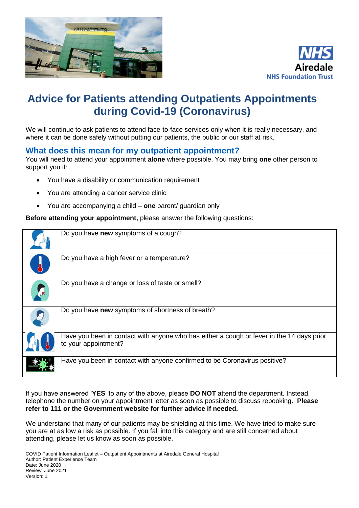



# **Advice for Patients attending Outpatients Appointments during Covid-19 (Coronavirus)**

We will continue to ask patients to attend face-to-face services only when it is really necessary, and where it can be done safely without putting our patients, the public or our staff at risk.

#### **What does this mean for my outpatient appointment?**

You will need to attend your appointment **alone** where possible. You may bring **one** other person to support you if:

- You have a disability or communication requirement
- You are attending a cancer service clinic
- You are accompanying a child **one** parent/ guardian only

**Before attending your appointment,** please answer the following questions:

| Do you have new symptoms of a cough?                                                                              |
|-------------------------------------------------------------------------------------------------------------------|
| Do you have a high fever or a temperature?                                                                        |
| Do you have a change or loss of taste or smell?                                                                   |
| Do you have new symptoms of shortness of breath?                                                                  |
| Have you been in contact with anyone who has either a cough or fever in the 14 days prior<br>to your appointment? |
| Have you been in contact with anyone confirmed to be Coronavirus positive?                                        |

If you have answered '**YES**' to any of the above, please **DO NOT** attend the department. Instead, telephone the number on your appointment letter as soon as possible to discuss rebooking. **Please refer to 111 or the Government website for further advice if needed.**

We understand that many of our patients may be shielding at this time. We have tried to make sure you are at as low a risk as possible. If you fall into this category and are still concerned about attending, please let us know as soon as possible.